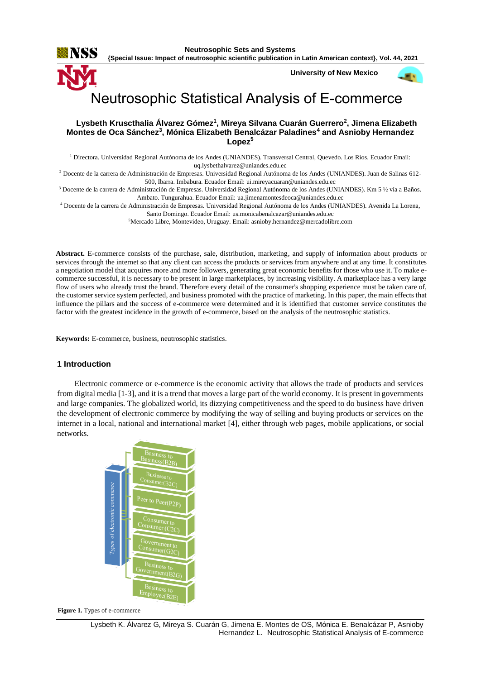

**{Special Issue: Impact of neutrosophic scientific publication in Latin American context}, Vol. 44, 2021**

**University of New Mexico**



# Neutrosophic Statistical Analysis of E-commerce

## **Lysbeth Kruscthalia Álvarez Gómez<sup>1</sup> , Mireya Silvana Cuarán Guerrero<sup>2</sup> , Jimena Elizabeth Montes de Oca Sánchez<sup>3</sup> , Mónica Elizabeth Benalcázar Paladines<sup>4</sup> and Asnioby Hernandez Lopez<sup>5</sup>**

<sup>1</sup> Directora. Universidad Regional Autónoma de los Andes (UNIANDES). Transversal Central, Quevedo. Los Ríos. Ecuador Email: [uq.lysbethalvarez@uniandes.edu.ec](mailto:uq.lysbethalvarez@uniandes.edu.ec)

<sup>2</sup> Docente de la carrera de Administración de Empresas. Universidad Regional Autónoma de los Andes (UNIANDES). Juan de Salinas 612- 500, Ibarra. Imbabura. Ecuador Email[: ui.mireyacuaran@uniandes.edu.ec](mailto:ui.mireyacuaran@uniandes.edu.ec)

<sup>3</sup> Docente de la carrera de Administración de Empresas. Universidad Regional Autónoma de los Andes (UNIANDES). Km 5 ½ vía a Baños. Ambato. Tungurahua. Ecuador Email[: ua.jimenamontesdeoca@uniandes.edu.ec](mailto:ua.jimenamontesdeoca@uniandes.edu.ec)

<sup>4</sup> Docente de la carrera de Administración de Empresas. Universidad Regional Autónoma de los Andes (UNIANDES). Avenida La Lorena, Santo Domingo. Ecuador Email: [us.monicabenalcazar@uniandes.edu.ec](mailto:us.monicabenalcazar@uniandes.edu.ec)

<sup>5</sup>Mercado Libre, Montevideo, Uruguay. Email[: asnioby.hernandez@mercadolibre.com](mailto:asnioby.hernandez@mercadolibre.com)

**Abstract.** E-commerce consists of the purchase, sale, distribution, marketing, and supply of information about products or services through the internet so that any client can access the products or services from anywhere and at any time. It constitutes a negotiation model that acquires more and more followers, generating great economic benefits for those who use it. To make ecommerce successful, it is necessary to be present in large marketplaces, by increasing visibility. A marketplace has a very large flow of users who already trust the brand. Therefore every detail of the consumer's shopping experience must be taken care of, the customer service system perfected, and business promoted with the practice of marketing. In this paper, the main effects that influence the pillars and the success of e-commerce were determined and it is identified that customer service constitutes the factor with the greatest incidence in the growth of e-commerce, based on the analysis of the neutrosophic statistics.

**Keywords:** E-commerce, business, neutrosophic statistics.

## **1 Introduction**

Electronic commerce or e-commerce is the economic activity that allows the trade of products and services from digital media [\[1-3\]](#page-6-0), and it is a trend that moves a large part of the world economy. It is present in governments and large companies. The globalized world, its dizzying competitiveness and the speed to do business have driven the development of electronic commerce by modifying the way of selling and buying products or services on the internet in a local, national and international market [\[4\]](#page-6-1), either through web pages, mobile applications, or social networks.



**Figure 1.** Types of e-commerce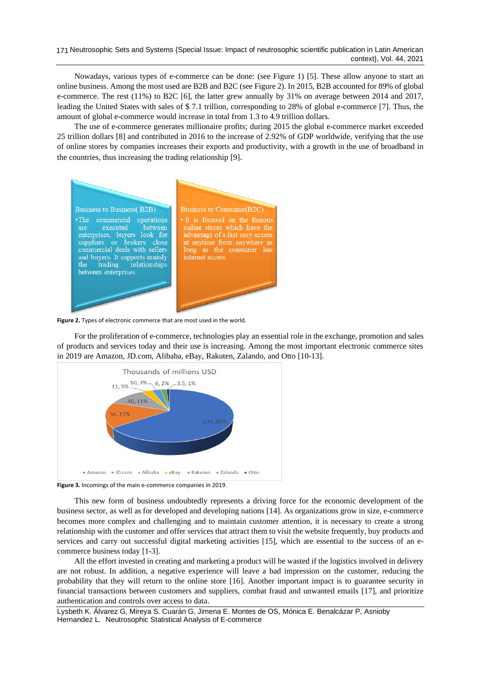Nowadays, various types of e-commerce can be done: (see Figure 1) [\[5\]](#page-7-0). These allow anyone to start an online business. Among the most used are B2B and B2C (see Figure 2). In 2015, B2B accounted for 89% of global e-commerce. The rest (11%) to B2C [\[6\]](#page-7-1), the latter grew annually by 31% on average between 2014 and 2017, leading the United States with sales of \$ 7.1 trillion, corresponding to 28% of global e-commerce [\[7\]](#page-7-2). Thus, the amount of global e-commerce would increase in total from 1.3 to 4.9 trillion dollars.

The use of e-commerce generates millionaire profits; during 2015 the global e-commerce market exceeded 25 trillion dollars [\[8\]](#page-7-3) and contributed in 2016 to the increase of 2.92% of GDP worldwide, verifying that the use of online stores by companies increases their exports and productivity, with a growth in the use of broadband in the countries, thus increasing the trading relationship [\[9\]](#page-7-4).



**Figure 2.** Types of electronic commerce that are most used in the world.

For the proliferation of e-commerce, technologies play an essential role in the exchange, promotion and sales of products and services today and their use is increasing. Among the most important electronic commerce sites in 2019 are Amazon, JD.com, Alibaba, eBay, Rakuten, Zalando, and Otto [\[10-13\]](#page-7-5).



**Figure 3.** Incomings of the main e-commerce companies in 2019.

This new form of business undoubtedly represents a driving force for the economic development of the business sector, as well as for developed and developing nations [\[14\]](#page-7-6). As organizations grow in size, e-commerce becomes more complex and challenging and to maintain customer attention, it is necessary to create a strong relationship with the customer and offer services that attract them to visit the website frequently, buy products and services and carry out successful digital marketing activities [\[15\]](#page-7-7), which are essential to the success of an ecommerce business today [\[1-3\]](#page-6-0).

All the effort invested in creating and marketing a product will be wasted if the logistics involved in delivery are not robust. In addition, a negative experience will leave a bad impression on the customer, reducing the probability that they will return to the online store [\[16\]](#page-7-8). Another important impact is to guarantee security in financial transactions between customers and suppliers, combat fraud and unwanted emails [\[17\]](#page-7-9), and prioritize authentication and controls over access to data.

Lysbeth K. Álvarez G, Mireya S. Cuarán G, Jimena E. Montes de OS, Mónica E. Benalcázar P, Asnioby Hernandez L. Neutrosophic Statistical Analysis of E-commerce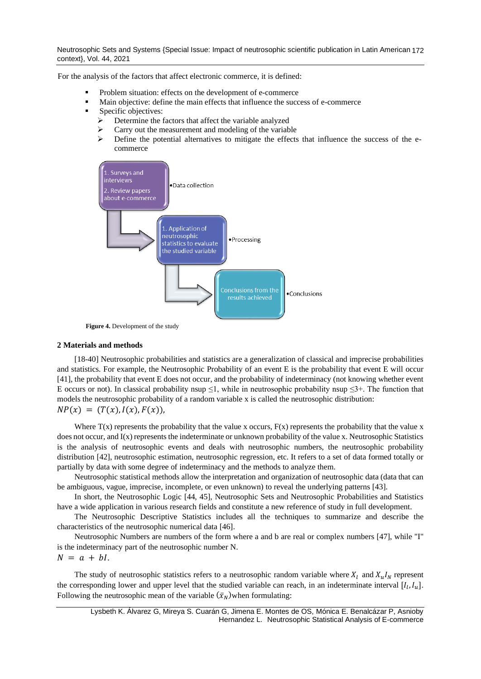Neutrosophic Sets and Systems {Special Issue: Impact of neutrosophic scientific publication in Latin American 172 context}, Vol. 44, 2021

For the analysis of the factors that affect electronic commerce, it is defined:

- Problem situation: effects on the development of e-commerce
- Main objective: define the main effects that influence the success of e-commerce
- Specific objectives:
	- ➢ Determine the factors that affect the variable analyzed
	- $\triangleright$  Carry out the measurement and modeling of the variable<br> $\triangleright$  Define the potential alternatives to mitigate the effects
	- ➢ Define the potential alternatives to mitigate the effects that influence the success of the ecommerce



**Figure 4.** Development of the study

#### **2 Materials and methods**

[\[18-40\]](#page-7-10) Neutrosophic probabilities and statistics are a generalization of classical and imprecise probabilities and statistics. For example, the Neutrosophic Probability of an event E is the probability that event E will occur [\[41\]](#page-8-0), the probability that event E does not occur, and the probability of indeterminacy (not knowing whether event E occurs or not). In classical probability nsup  $\leq$ 1, while in neutrosophic probability nsup  $\leq$ 3+. The function that models the neutrosophic probability of a random variable x is called the neutrosophic distribution:

$$
NP(x) = (T(x), I(x), F(x)),
$$

Where  $T(x)$  represents the probability that the value x occurs,  $F(x)$  represents the probability that the value x does not occur, and  $I(x)$  represents the indeterminate or unknown probability of the value x. Neutrosophic Statistics is the analysis of neutrosophic events and deals with neutrosophic numbers, the neutrosophic probability distribution [\[42\]](#page-8-1), neutrosophic estimation, neutrosophic regression, etc. It refers to a set of data formed totally or partially by data with some degree of indeterminacy and the methods to analyze them.

Neutrosophic statistical methods allow the interpretation and organization of neutrosophic data (data that can be ambiguous, vague, imprecise, incomplete, or even unknown) to reveal the underlying patterns [\[43\]](#page-8-2).

In short, the Neutrosophic Logic [\[44,](#page-8-3) [45\]](#page-8-4), Neutrosophic Sets and Neutrosophic Probabilities and Statistics have a wide application in various research fields and constitute a new reference of study in full development.

The Neutrosophic Descriptive Statistics includes all the techniques to summarize and describe the characteristics of the neutrosophic numerical data [\[46\]](#page-8-5).

Neutrosophic Numbers are numbers of the form where a and b are real or complex numbers [\[47\]](#page-8-6), while "I" is the indeterminacy part of the neutrosophic number N.

 $N = a + bl.$ 

The study of neutrosophic statistics refers to a neutrosophic random variable where  $X_l$  and  $X_u I_N$  represent the corresponding lower and upper level that the studied variable can reach, in an indeterminate interval  $[I_l, I_u]$ . Following the neutrosophic mean of the variable  $(\bar{x}_N)$ when formulating: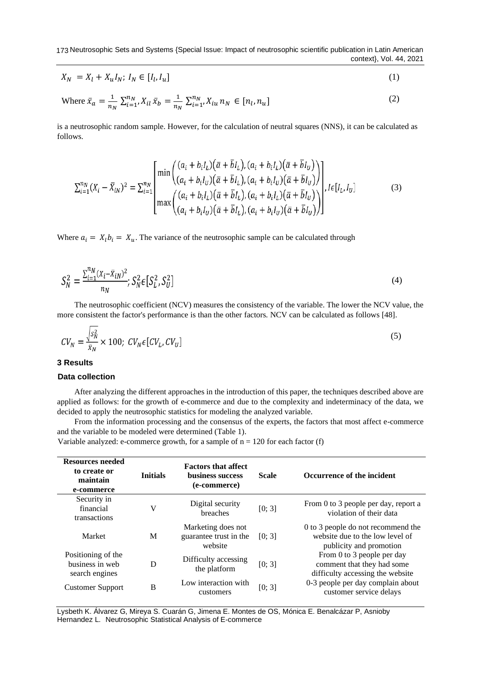173 Neutrosophic Sets and Systems {Special Issue: Impact of neutrosophic scientific publication in Latin American context}, Vol. 44, 2021

$$
X_N = X_l + X_u I_N; I_N \in [I_l, I_u]
$$
\n
$$
(1)
$$

Where 
$$
\bar{x}_a = \frac{1}{n_N} \sum_{i=1}^{n_N} X_{il} \bar{x}_b = \frac{1}{n_N} \sum_{i=1}^{n_N} X_{iu} n_N \in [n_l, n_u]
$$
 (2)

is a neutrosophic random sample. However, for the calculation of neutral squares (NNS), it can be calculated as follows.

$$
\sum_{i=1}^{n_N} (X_i - \bar{X}_{iN})^2 = \sum_{i=1}^{n_N} \begin{bmatrix} \min\left( \frac{(a_i + b_i I_L)(\bar{a} + \bar{b} I_L), (a_i + b_i I_L)(\bar{a} + \bar{b} I_U)}{(a_i + b_i I_U)(\bar{a} + \bar{b} I_L), (a_i + b_i I_U)(\bar{a} + \bar{b} I_U)} \right) \\ \max\left( \frac{(a_i + b_i I_L)(\bar{a} + \bar{b} I_L), (a_i + b_i I_L)(\bar{a} + \bar{b} I_U)}{(a_i + b_i I_U)(\bar{a} + \bar{b} I_L), (a_i + b_i I_U)(\bar{a} + \bar{b} I_U)} \right) \end{bmatrix}, l \in [I_L, I_U]
$$
(3)

Where  $a_i = X_i b_i = X_u$ . The variance of the neutrosophic sample can be calculated through

$$
S_N^2 = \frac{\sum_{i=1}^{n} (X_i - \bar{X}_{iN})^2}{n_N}; S_N^2 \in [S_L^2, S_U^2]
$$
\n(4)

The neutrosophic coefficient (NCV) measures the consistency of the variable. The lower the NCV value, the more consistent the factor's performance is than the other factors. NCV can be calculated as follows [\[48\]](#page-8-7).

$$
CV_N = \frac{\sqrt{s_N^2}}{\bar{x}_N} \times 100; CV_N \epsilon [CV_L, CV_U]
$$
\n
$$
(5)
$$

#### **3 Results**

### **Data collection**

After analyzing the different approaches in the introduction of this paper, the techniques described above are applied as follows: for the growth of e-commerce and due to the complexity and indeterminacy of the data, we decided to apply the neutrosophic statistics for modeling the analyzed variable.

From the information processing and the consensus of the experts, the factors that most affect e-commerce and the variable to be modeled were determined (Table 1).

**Resources needed to create or maintain e-commerce Initials Factors that affect business success (e-commerce) Scale Occurrence of the incident** Security in financial transactions V Digital security expected in Evaluative contractions is the extended to 3 people per day, report a breaches  $[0; 3]$  From 0 to 3 people per day, report a violation of their data Market M Marketing does not guarantee trust in the website [0; 3] 0 to 3 people do not recommend the website due to the low level of publicity and promotion Positioning of the business in web search engines D Difficulty accessing the platform  $[0; 3]$ From 0 to 3 people per day comment that they had some difficulty accessing the website Customer Support B Low interaction with customers  $[0; 3]$  0-3 people per day complain about customer service delays

Variable analyzed: e-commerce growth, for a sample of  $n = 120$  for each factor (f)

Lysbeth K. Álvarez G, Mireya S. Cuarán G, Jimena E. Montes de OS, Mónica E. Benalcázar P, Asnioby Hernandez L. Neutrosophic Statistical Analysis of E-commerce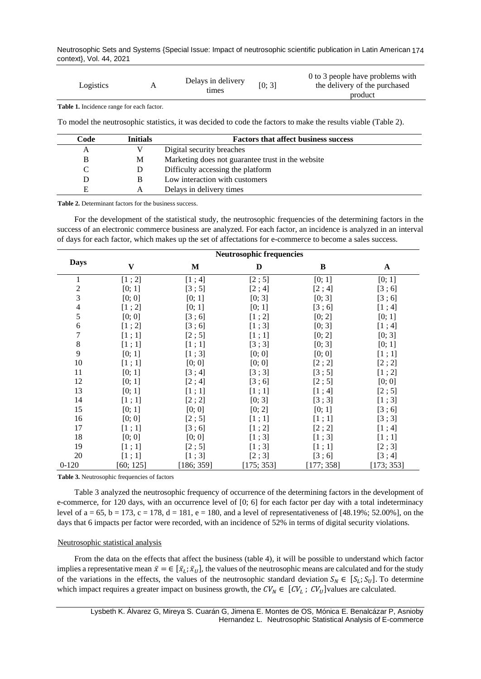Neutrosophic Sets and Systems {Special Issue: Impact of neutrosophic scientific publication in Latin American 174 context}, Vol. 44, 2021

| Logistics |  | Delays in delivery<br>tımes | [0; 3] | 0 to 3 people have problems with<br>the delivery of the purchased<br>product |
|-----------|--|-----------------------------|--------|------------------------------------------------------------------------------|
|-----------|--|-----------------------------|--------|------------------------------------------------------------------------------|

**Table 1.** Incidence range for each factor.

To model the neutrosophic statistics, it was decided to code the factors to make the results viable (Table 2).

| Code | <b>Initials</b> | <b>Factors that affect business success</b>       |
|------|-----------------|---------------------------------------------------|
| A    |                 | Digital security breaches                         |
| B    | М               | Marketing does not guarantee trust in the website |
|      | D               | Difficulty accessing the platform                 |
|      |                 | Low interaction with customers                    |
| E    | А               | Delays in delivery times                          |

**Table 2.** Determinant factors for the business success.

For the development of the statistical study, the neutrosophic frequencies of the determining factors in the success of an electronic commerce business are analyzed. For each factor, an incidence is analyzed in an interval of days for each factor, which makes up the set of affectations for e-commerce to become a sales success.

|                          |                         | <b>Neutrosophic frequencies</b> |            |           |             |  |  |
|--------------------------|-------------------------|---------------------------------|------------|-----------|-------------|--|--|
| <b>Days</b>              | $\overline{\mathbf{V}}$ | M                               | D          | $\bf{B}$  | $\mathbf A$ |  |  |
| 1                        | [1; 2]                  | [1; 4]                          | [2; 5]     | [0; 1]    | [0; 1]      |  |  |
| $\overline{c}$           | [0; 1]                  | [3;5]                           | [2; 4]     | [2; 4]    | [3;6]       |  |  |
| $\overline{\mathbf{3}}$  | [0; 0]                  | [0; 1]                          | [0; 3]     | [0; 3]    | [3;6]       |  |  |
| $\overline{\mathcal{L}}$ | [1; 2]                  | [0; 1]                          | [0; 1]     | [3;6]     | [1; 4]      |  |  |
| 5                        | [0; 0]                  | [3;6]                           | [1; 2]     | [0; 2]    | [0; 1]      |  |  |
| $\sqrt{6}$               | [1; 2]                  | [3;6]                           | [1;3]      | [0; 3]    | [1; 4]      |  |  |
| $\boldsymbol{7}$         | [1;1]                   | [2;5]                           | [1;1]      | [0; 2]    | [0; 3]      |  |  |
| $\,$ 8 $\,$              | [1;1]                   | [1;1]                           | [3;3]      | [0; 3]    | [0; 1]      |  |  |
| 9                        | [0; 1]                  | [1;3]                           | [0; 0]     | [0; 0]    | [1;1]       |  |  |
| 10                       | [1;1]                   | [0; 0]                          | [0; 0]     | [2; 2]    | [2; 2]      |  |  |
| 11                       | [0; 1]                  | [3; 4]                          | [3;3]      | [3;5]     | [1; 2]      |  |  |
| 12                       | [0; 1]                  | [2; 4]                          | [3;6]      | [2; 5]    | [0; 0]      |  |  |
| 13                       | [0; 1]                  | [1;1]                           | [1;1]      | [1; 4]    | [2; 5]      |  |  |
| 14                       | [1;1]                   | [2; 2]                          | [0; 3]     | [3;3]     | [1;3]       |  |  |
| 15                       | [0; 1]                  | [0; 0]                          | [0; 2]     | [0; 1]    | [3;6]       |  |  |
| 16                       | [0; 0]                  | [2;5]                           | [1;1]      | [1;1]     | [3;3]       |  |  |
| 17                       | [1;1]                   | [3;6]                           | [1; 2]     | [2; 2]    | [1; 4]      |  |  |
| 18                       | [0; 0]                  | [0; 0]                          | [1;3]      | [1;3]     | [1;1]       |  |  |
| 19                       | [1;1]                   | [2;5]                           | [1;3]      | [1;1]     | [2;3]       |  |  |
| 20                       | [1;1]                   | [1;3]                           | [2;3]      | [3;6]     | [3; 4]      |  |  |
| $0-120$                  | [60; 125]               | [186; 359]                      | [175; 353] | 177; 358] | [173; 353]  |  |  |

**Table 3.** Neutrosophic frequencies of factors

Table 3 analyzed the neutrosophic frequency of occurrence of the determining factors in the development of e-commerce, for 120 days, with an occurrence level of [0; 6] for each factor per day with a total indeterminacy level of a = 65, b = 173, c = 178, d = 181, e = 180, and a level of representativeness of  $[48.19\%; 52.00\%]$ , on the days that 6 impacts per factor were recorded, with an incidence of 52% in terms of digital security violations.

#### Neutrosophic statistical analysis

From the data on the effects that affect the business (table 4), it will be possible to understand which factor implies a representative mean  $\bar{x} = \in [\bar{x}_L; \bar{x}_U]$ , the values of the neutrosophic means are calculated and for the study of the variations in the effects, the values of the neutrosophic standard deviation  $S_N \in [S_L; S_U]$ . To determine which impact requires a greater impact on business growth, the  $CV_N \in [CV_L; CV_U]$  values are calculated.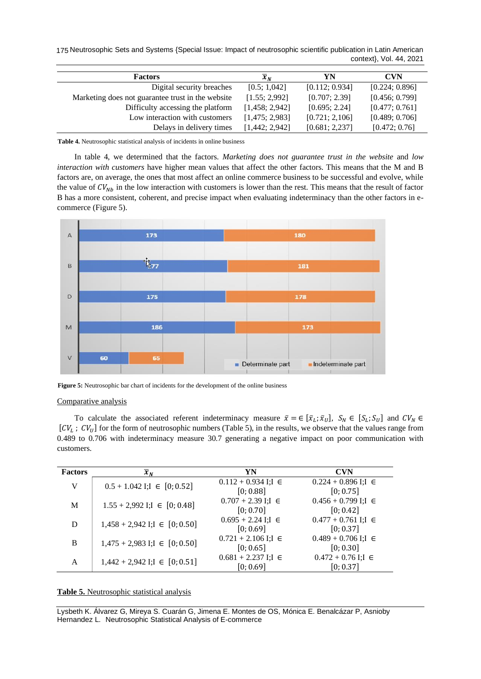175 Neutrosophic Sets and Systems {Special Issue: Impact of neutrosophic scientific publication in Latin American context}, Vol. 44, 2021

| <b>Factors</b>                                    | $\overline{x}_N$ | YN             | <b>CVN</b>     |
|---------------------------------------------------|------------------|----------------|----------------|
| Digital security breaches                         | [0.5; 1,042]     | [0.112; 0.934] | [0.224; 0.896] |
| Marketing does not guarantee trust in the website | [1.55; 2.992]    | [0.707; 2.39]  | [0.456; 0.799] |
| Difficulty accessing the platform                 | [1,458; 2,942]   | [0.695; 2.24]  | [0.477; 0.761] |
| Low interaction with customers                    | [1,475; 2,983]   | [0.721; 2,106] | [0.489; 0.706] |
| Delays in delivery times                          | [1,442; 2,942]   | [0.681; 2,237] | [0.472; 0.76]  |

**Table 4.** Neutrosophic statistical analysis of incidents in online business

In table 4, we determined that the factors. *Marketing does not guarantee trust in the website* and *low interaction with customers* have higher mean values that affect the other factors. This means that the M and B factors are, on average, the ones that most affect an online commerce business to be successful and evolve, while the value of  $CV_{Nb}$  in the low interaction with customers is lower than the rest. This means that the result of factor B has a more consistent, coherent, and precise impact when evaluating indeterminacy than the other factors in ecommerce (Figure 5).



**Figure 5:** Neutrosophic bar chart of incidents for the development of the online business

#### Comparative analysis

To calculate the associated referent indeterminacy measure  $\bar{x} = \in [\bar{x}_L; \bar{x}_U]$ ,  $S_N \in [S_L; S_U]$  and  $CV_N \in$  $[CV_L; CV_U]$  for the form of neutrosophic numbers (Table 5), in the results, we observe that the values range from 0.489 to 0.706 with indeterminacy measure 30.7 generating a negative impact on poor communication with customers.

| <b>Factors</b> | $\overline{x}_N$                    | YN                                      | <b>CVN</b>                             |
|----------------|-------------------------------------|-----------------------------------------|----------------------------------------|
| V              | $0.5 + 1.042$ I;I $\in [0, 0.52]$   | $0.112 + 0.934$ I;I $\in$<br>[0; 0.88]  | $0.224 + 0.896$ I;I $\in$<br>[0; 0.75] |
| M              | $1.55 + 2,992$ I;I $\in [0, 0.48]$  | $0.707 + 2.39$ I;I $\in$<br>[0; 0.70]   | $0.456 + 0.799$ I;I $\in$<br>[0; 0.42] |
| D              | $1,458 + 2,942$ I;I $\in [0, 0.50]$ | $0.695 + 2.24$ I;I $\in$<br>[0; 0.69]   | $0.477 + 0.761$ I;I $\in$<br>[0; 0.37] |
| B              | $1,475 + 2,983$ I;I $\in [0, 0.50]$ | $0.721 + 2.106$ I; I $\in$<br>[0; 0.65] | $0.489 + 0.706$ I;I $\in$<br>[0; 0.30] |
| A              | $1,442 + 2,942$ I;I $\in [0, 0.51]$ | $0.681 + 2.237$ I;I $\in$<br>[0; 0.69]  | $0.472 + 0.76$ I;I $\in$<br>[0; 0.37]  |

**Table 5.** Neutrosophic statistical analysis

Lysbeth K. Álvarez G, Mireya S. Cuarán G, Jimena E. Montes de OS, Mónica E. Benalcázar P, Asnioby Hernandez L. Neutrosophic Statistical Analysis of E-commerce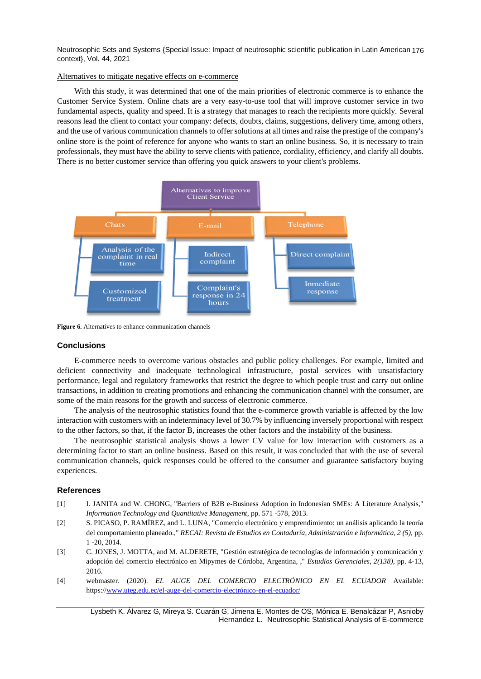Neutrosophic Sets and Systems {Special Issue: Impact of neutrosophic scientific publication in Latin American 176 context}, Vol. 44, 2021

Alternatives to mitigate negative effects on e-commerce

With this study, it was determined that one of the main priorities of electronic commerce is to enhance the Customer Service System. Online chats are a very easy-to-use tool that will improve customer service in two fundamental aspects, quality and speed. It is a strategy that manages to reach the recipients more quickly. Several reasons lead the client to contact your company: defects, doubts, claims, suggestions, delivery time, among others, and the use of various communication channels to offer solutions at all times and raise the prestige of the company's online store is the point of reference for anyone who wants to start an online business. So, it is necessary to train professionals, they must have the ability to serve clients with patience, cordiality, efficiency, and clarify all doubts. There is no better customer service than offering you quick answers to your client's problems.



**Figure 6.** Alternatives to enhance communication channels

# **Conclusions**

E-commerce needs to overcome various obstacles and public policy challenges. For example, limited and deficient connectivity and inadequate technological infrastructure, postal services with unsatisfactory performance, legal and regulatory frameworks that restrict the degree to which people trust and carry out online transactions, in addition to creating promotions and enhancing the communication channel with the consumer, are some of the main reasons for the growth and success of electronic commerce.

The analysis of the neutrosophic statistics found that the e-commerce growth variable is affected by the low interaction with customers with an indeterminacy level of 30.7% by influencing inversely proportional with respect to the other factors, so that, if the factor B, increases the other factors and the instability of the business.

The neutrosophic statistical analysis shows a lower CV value for low interaction with customers as a determining factor to start an online business. Based on this result, it was concluded that with the use of several communication channels, quick responses could be offered to the consumer and guarantee satisfactory buying experiences.

## **References**

- <span id="page-6-0"></span>[1] I. JANITA and W. CHONG, "Barriers of B2B e-Business Adoption in Indonesian SMEs: A Literature Analysis," *Information Technology and Quantitative Management,* pp. 571 -578, 2013.
- [2] S. PICASO, P. RAMÍREZ, and L. LUNA, "Comercio electrónico y emprendimiento: un análisis aplicando la teoría del comportamiento planeado.," *RECAI: Revista de Estudios en Contaduría, Administración e Informática, 2 (5),* pp. 1 -20, 2014.
- [3] C. JONES, J. MOTTA, and M. ALDERETE, "Gestión estratégica de tecnologías de información y comunicación y adopción del comercio electrónico en Mipymes de Córdoba, Argentina, ," *Estudios Gerenciales, 2(138),* pp. 4-13, 2016.
- <span id="page-6-1"></span>[4] webmaster. (2020). *EL AUGE DEL COMERCIO ELECTRÓNICO EN EL ECUADOR* Available: https:/[/www.uteg.edu.ec/el-auge-del-comercio-electrónico-en-el-ecuador/](http://www.uteg.edu.ec/el-auge-del-comercio-electrónico-en-el-ecuador/)

Lysbeth K. Álvarez G, Mireya S. Cuarán G, Jimena E. Montes de OS, Mónica E. Benalcázar P, Asnioby Hernandez L. Neutrosophic Statistical Analysis of E-commerce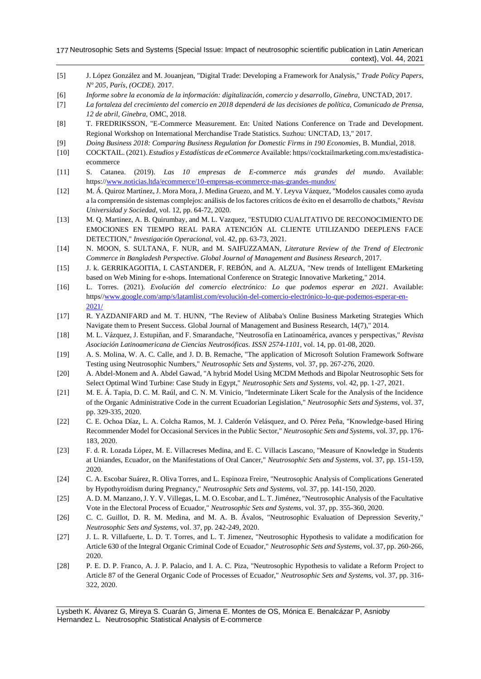- <span id="page-7-0"></span>[5] J. López González and M. Jouanjean, "Digital Trade: Developing a Framework for Analysis," *Trade Policy Papers, Nº 205, París, (OCDE).* 2017.
- <span id="page-7-1"></span>[6] *Informe sobre la economía de la información: digitalización, comercio y desarrollo, Ginebra,* UNCTAD, 2017.
- <span id="page-7-2"></span>[7] *La fortaleza del crecimiento del comercio en 2018 dependerá de las decisiones de política, Comunicado de Prensa, 12 de abril, Ginebra,* OMC, 2018.
- <span id="page-7-3"></span>[8] T. FREDRIKSSON, "E-Commerce Measurement. En: United Nations Conference on Trade and Development. Regional Workshop on International Merchandise Trade Statistics. Suzhou: UNCTAD, 13," 2017.
- <span id="page-7-4"></span>[9] *Doing Business 2018: Comparing Business Regulation for Domestic Firms in 190 Economies,* B. Mundial, 2018.
- <span id="page-7-5"></span>[10] COCKTAIL. (2021). *Estudios y Estadísticas de eCommerce* Available: https//cocktailmarketing.com.mx/estadisticaecommerce
- [11] S. Catanea. (2019). *Las 10 empresas de E-commerce más grandes del mundo*. Available: https:/[/www.noticias.ltda/ecommerce/10-empresas-ecommerce-mas-grandes-mundos/](http://www.noticias.ltda/ecommerce/10-empresas-ecommerce-mas-grandes-mundos/)
- [12] M. Á. Quiroz Martínez, J. Mora Mora, J. Medina Gruezo, and M. Y. Leyva Vázquez, "Modelos causales como ayuda a la comprensión de sistemas complejos: análisis de los factores críticos de éxito en el desarrollo de chatbots," *Revista Universidad y Sociedad,* vol. 12, pp. 64-72, 2020.
- [13] M. Q. Martinez, A. B. Quirumbay, and M. L. Vazquez, "ESTUDIO CUALITATIVO DE RECONOCIMIENTO DE EMOCIONES EN TIEMPO REAL PARA ATENCIÓN AL CLIENTE UTILIZANDO DEEPLENS FACE DETECTION," *Investigación Operacional,* vol. 42, pp. 63-73, 2021.
- <span id="page-7-6"></span>[14] N. MOON, S. SULTANA, F. NUR, and M. SAIFUZZAMAN, *Literature Review of the Trend of Electronic Commerce in Bangladesh Perspective. Global Journal of Management and Business Research*, 2017.
- <span id="page-7-7"></span>[15] J. k. GERRIKAGOITIA, I. CASTANDER, F. REBÓN, and A. ALZUA, "New trends of Intelligent EMarketing based on Web Mining for e-shops. International Conference on Strategic Innovative Marketing," 2014.
- <span id="page-7-8"></span>[16] L. Torres. (2021). *Evolución del comercio electrónico: Lo que podemos esperar en 2021*. Available: https/[/www.google.com/amp/s/latamlist.com/evolución-del-comercio-electrónico-lo-que-podemos-esperar-en-](http://www.google.com/amp/s/latamlist.com/evolución-del-comercio-electrónico-lo-que-podemos-esperar-en-2021/)[2021/](http://www.google.com/amp/s/latamlist.com/evolución-del-comercio-electrónico-lo-que-podemos-esperar-en-2021/)
- <span id="page-7-9"></span>[17] R. YAZDANIFARD and M. T. HUNN, "The Review of Alibaba's Online Business Marketing Strategies Which Navigate them to Present Success. Global Journal of Management and Business Research, 14(7)," 2014.
- <span id="page-7-10"></span>[18] M. L. Vázquez, J. Estupiñan, and F. Smarandache, "Neutrosofía en Latinoamérica, avances y perspectivas," *Revista Asociación Latinoamericana de Ciencias Neutrosóficas. ISSN 2574-1101,* vol. 14, pp. 01-08, 2020.
- [19] A. S. Molina, W. A. C. Calle, and J. D. B. Remache, "The application of Microsoft Solution Framework Software Testing using Neutrosophic Numbers," *Neutrosophic Sets and Systems,* vol. 37, pp. 267-276, 2020.
- [20] A. Abdel-Monem and A. Abdel Gawad, "A hybrid Model Using MCDM Methods and Bipolar Neutrosophic Sets for Select Optimal Wind Turbine: Case Study in Egypt," *Neutrosophic Sets and Systems,* vol. 42, pp. 1-27, 2021.
- [21] M. E. Á. Tapia, D. C. M. Raúl, and C. N. M. Vinicio, "Indeterminate Likert Scale for the Analysis of the Incidence of the Organic Administrative Code in the current Ecuadorian Legislation," *Neutrosophic Sets and Systems,* vol. 37, pp. 329-335, 2020.
- [22] C. E. Ochoa Díaz, L. A. Colcha Ramos, M. J. Calderón Velásquez, and O. Pérez Peña, "Knowledge-based Hiring Recommender Model for Occasional Services in the Public Sector," *Neutrosophic Sets and Systems,* vol. 37, pp. 176- 183, 2020.
- [23] F. d. R. Lozada López, M. E. Villacreses Medina, and E. C. Villacis Lascano, "Measure of Knowledge in Students at Uniandes, Ecuador, on the Manifestations of Oral Cancer," *Neutrosophic Sets and Systems,* vol. 37, pp. 151-159, 2020.
- [24] C. A. Escobar Suárez, R. Oliva Torres, and L. Espinoza Freire, "Neutrosophic Analysis of Complications Generated by Hypothyroidism during Pregnancy," *Neutrosophic Sets and Systems,* vol. 37, pp. 141-150, 2020.
- [25] A. D. M. Manzano, J. Y. V. Villegas, L. M. O. Escobar, and L. T. Jiménez, "Neutrosophic Analysis of the Facultative Vote in the Electoral Process of Ecuador," *Neutrosophic Sets and Systems,* vol. 37, pp. 355-360, 2020.
- [26] C. C. Guillot, D. R. M. Medina, and M. A. B. Ávalos, "Neutrosophic Evaluation of Depression Severity," *Neutrosophic Sets and Systems,* vol. 37, pp. 242-249, 2020.
- [27] J. L. R. Villafuerte, L. D. T. Torres, and L. T. Jimenez, "Neutrosophic Hypothesis to validate a modification for Article 630 of the Integral Organic Criminal Code of Ecuador," *Neutrosophic Sets and Systems,* vol. 37, pp. 260-266, 2020.
- [28] P. E. D. P. Franco, A. J. P. Palacio, and I. A. C. Piza, "Neutrosophic Hypothesis to validate a Reform Project to Article 87 of the General Organic Code of Processes of Ecuador," *Neutrosophic Sets and Systems,* vol. 37, pp. 316- 322, 2020.